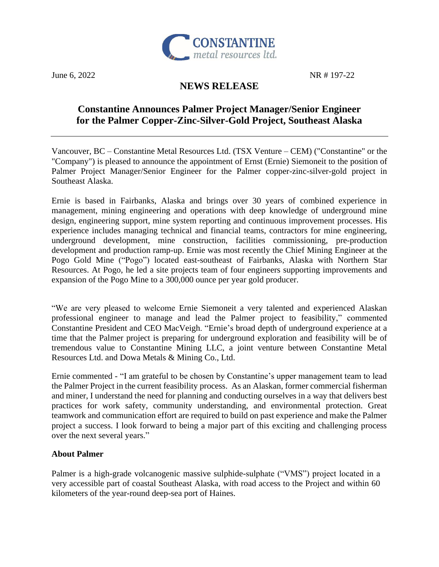

June 6, 2022 NR # 197-22

# **NEWS RELEASE**

# **Constantine Announces Palmer Project Manager/Senior Engineer for the Palmer Copper-Zinc-Silver-Gold Project, Southeast Alaska**

Vancouver, BC – Constantine Metal Resources Ltd. (TSX Venture – CEM) ("Constantine" or the "Company") is pleased to announce the appointment of Ernst (Ernie) Siemoneit to the position of Palmer Project Manager/Senior Engineer for the Palmer copper-zinc-silver-gold project in Southeast Alaska.

Ernie is based in Fairbanks, Alaska and brings over 30 years of combined experience in management, mining engineering and operations with deep knowledge of underground mine design, engineering support, mine system reporting and continuous improvement processes. His experience includes managing technical and financial teams, contractors for mine engineering, underground development, mine construction, facilities commissioning, pre-production development and production ramp-up. Ernie was most recently the Chief Mining Engineer at the Pogo Gold Mine ("Pogo") located east-southeast of Fairbanks, Alaska with Northern Star Resources. At Pogo, he led a site projects team of four engineers supporting improvements and expansion of the Pogo Mine to a 300,000 ounce per year gold producer.

"We are very pleased to welcome Ernie Siemoneit a very talented and experienced Alaskan professional engineer to manage and lead the Palmer project to feasibility," commented Constantine President and CEO MacVeigh. "Ernie's broad depth of underground experience at a time that the Palmer project is preparing for underground exploration and feasibility will be of tremendous value to Constantine Mining LLC, a joint venture between Constantine Metal Resources Ltd. and Dowa Metals & Mining Co., Ltd.

Ernie commented - "I am grateful to be chosen by Constantine's upper management team to lead the Palmer Project in the current feasibility process. As an Alaskan, former commercial fisherman and miner, I understand the need for planning and conducting ourselves in a way that delivers best practices for work safety, community understanding, and environmental protection. Great teamwork and communication effort are required to build on past experience and make the Palmer project a success. I look forward to being a major part of this exciting and challenging process over the next several years."

## **About Palmer**

Palmer is a high-grade volcanogenic massive sulphide-sulphate ("VMS") project located in a very accessible part of coastal Southeast Alaska, with road access to the Project and within 60 kilometers of the year-round deep-sea port of Haines.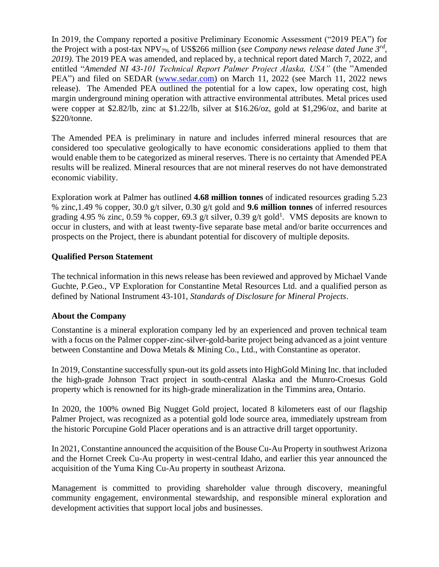In 2019, the Company reported a positive Preliminary Economic Assessment ("2019 PEA") for the Project with a post-tax NPV7% of US\$266 million (*see Company news release dated June 3rd , 2019).* The 2019 PEA was amended, and replaced by, a technical report dated March 7, 2022, and entitled "*Amended NI 43-101 Technical Report Palmer Project Alaska, USA"* (the "Amended PEA") and filed on SEDAR [\(www.sedar.com\)](http://www.sedar.com/) on March 11, 2022 (see March 11, 2022 news release). The Amended PEA outlined the potential for a low capex, low operating cost, high margin underground mining operation with attractive environmental attributes. Metal prices used were copper at \$2.82/lb, zinc at \$1.22/lb, silver at \$16.26/oz, gold at \$1,296/oz, and barite at \$220/tonne.

The Amended PEA is preliminary in nature and includes inferred mineral resources that are considered too speculative geologically to have economic considerations applied to them that would enable them to be categorized as mineral reserves. There is no certainty that Amended PEA results will be realized. Mineral resources that are not mineral reserves do not have demonstrated economic viability.

Exploration work at Palmer has outlined **4.68 million tonnes** of indicated resources grading 5.23 % zinc,1.49 % copper, 30.0 g/t silver, 0.30 g/t gold and **9.6 million tonnes** of inferred resources grading 4.95 % zinc, 0.59 % copper, 69.3 g/t silver, 0.39 g/t gold<sup>1</sup>. VMS deposits are known to occur in clusters, and with at least twenty-five separate base metal and/or barite occurrences and prospects on the Project, there is abundant potential for discovery of multiple deposits.

## **Qualified Person Statement**

The technical information in this news release has been reviewed and approved by Michael Vande Guchte, P.Geo., VP Exploration for Constantine Metal Resources Ltd. and a qualified person as defined by National Instrument 43-101, *Standards of Disclosure for Mineral Projects*.

## **About the Company**

Constantine is a mineral exploration company led by an experienced and proven technical team with a focus on the Palmer copper-zinc-silver-gold-barite project being advanced as a joint venture between Constantine and Dowa Metals & Mining Co., Ltd., with Constantine as operator.

In 2019, Constantine successfully spun-out its gold assets into HighGold Mining Inc. that included the high-grade Johnson Tract project in south-central Alaska and the Munro-Croesus Gold property which is renowned for its high-grade mineralization in the Timmins area, Ontario.

In 2020, the 100% owned Big Nugget Gold project, located 8 kilometers east of our flagship Palmer Project, was recognized as a potential gold lode source area, immediately upstream from the historic Porcupine Gold Placer operations and is an attractive drill target opportunity.

In 2021, Constantine announced the acquisition of the Bouse Cu-Au Property in southwest Arizona and the Hornet Creek Cu-Au property in west-central Idaho, and earlier this year announced the acquisition of the Yuma King Cu-Au property in southeast Arizona.

Management is committed to providing shareholder value through discovery, meaningful community engagement, environmental stewardship, and responsible mineral exploration and development activities that support local jobs and businesses.